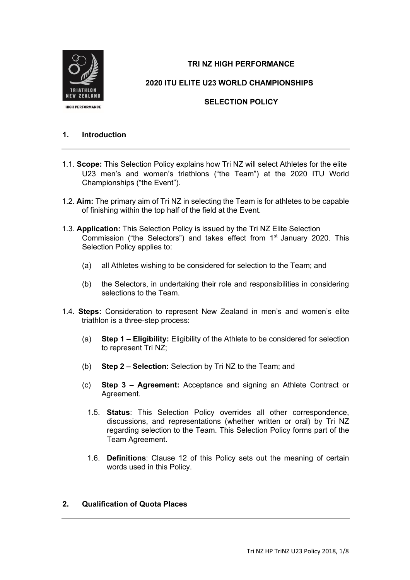

# **TRI NZ HIGH PERFORMANCE**

**2020 ITU ELITE U23 WORLD CHAMPIONSHIPS**

# **SELECTION POLICY**

#### **1. Introduction**

- 1.1. **Scope:** This Selection Policy explains how Tri NZ will select Athletes for the elite U23 men's and women's triathlons ("the Team") at the 2020 ITU World Championships ("the Event").
- 1.2. **Aim:** The primary aim of Tri NZ in selecting the Team is for athletes to be capable of finishing within the top half of the field at the Event.
- 1.3. **Application:** This Selection Policy is issued by the Tri NZ Elite Selection Commission ("the Selectors") and takes effect from 1<sup>st</sup> January 2020. This Selection Policy applies to:
	- (a) all Athletes wishing to be considered for selection to the Team; and
	- (b) the Selectors, in undertaking their role and responsibilities in considering selections to the Team.
- 1.4. **Steps:** Consideration to represent New Zealand in men's and women's elite triathlon is a three-step process:
	- (a) **Step 1 – Eligibility:** Eligibility of the Athlete to be considered for selection to represent Tri NZ;
	- (b) **Step 2 – Selection:** Selection by Tri NZ to the Team; and
	- (c) **Step 3 – Agreement:** Acceptance and signing an Athlete Contract or Agreement.
		- 1.5. **Status**: This Selection Policy overrides all other correspondence, discussions, and representations (whether written or oral) by Tri NZ regarding selection to the Team. This Selection Policy forms part of the Team Agreement.
		- 1.6. **Definitions**: Clause 12 of this Policy sets out the meaning of certain words used in this Policy.

#### **2. Qualification of Quota Places**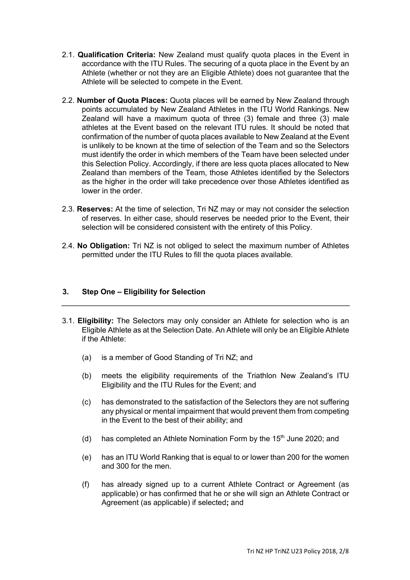- 2.1. **Qualification Criteria:** New Zealand must qualify quota places in the Event in accordance with the ITU Rules. The securing of a quota place in the Event by an Athlete (whether or not they are an Eligible Athlete) does not guarantee that the Athlete will be selected to compete in the Event.
- 2.2. **Number of Quota Places:** Quota places will be earned by New Zealand through points accumulated by New Zealand Athletes in the ITU World Rankings. New Zealand will have a maximum quota of three (3) female and three (3) male athletes at the Event based on the relevant ITU rules. It should be noted that confirmation of the number of quota places available to New Zealand at the Event is unlikely to be known at the time of selection of the Team and so the Selectors must identify the order in which members of the Team have been selected under this Selection Policy. Accordingly, if there are less quota places allocated to New Zealand than members of the Team, those Athletes identified by the Selectors as the higher in the order will take precedence over those Athletes identified as lower in the order.
- 2.3. **Reserves:** At the time of selection, Tri NZ may or may not consider the selection of reserves. In either case, should reserves be needed prior to the Event, their selection will be considered consistent with the entirety of this Policy.
- 2.4. **No Obligation:** Tri NZ is not obliged to select the maximum number of Athletes permitted under the ITU Rules to fill the quota places available.

#### **3. Step One – Eligibility for Selection**

- 3.1. **Eligibility:** The Selectors may only consider an Athlete for selection who is an Eligible Athlete as at the Selection Date. An Athlete will only be an Eligible Athlete if the Athlete:
	- (a) is a member of Good Standing of Tri NZ; and
	- (b) meets the eligibility requirements of the Triathlon New Zealand's ITU Eligibility and the ITU Rules for the Event; and
	- (c) has demonstrated to the satisfaction of the Selectors they are not suffering any physical or mental impairment that would prevent them from competing in the Event to the best of their ability; and
	- (d) has completed an Athlete Nomination Form by the  $15<sup>th</sup>$  June 2020; and
	- (e) has an ITU World Ranking that is equal to or lower than 200 for the women and 300 for the men.
	- (f) has already signed up to a current Athlete Contract or Agreement (as applicable) or has confirmed that he or she will sign an Athlete Contract or Agreement (as applicable) if selected**;** and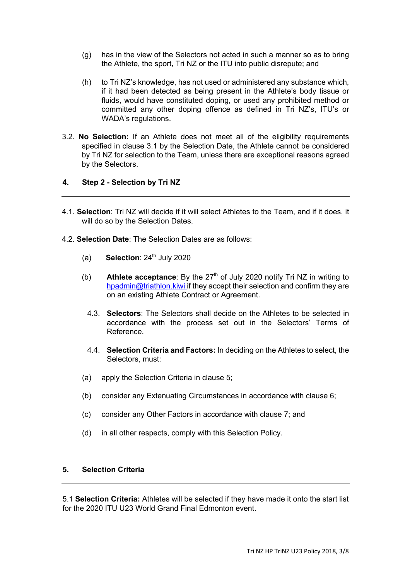- (g) has in the view of the Selectors not acted in such a manner so as to bring the Athlete, the sport, Tri NZ or the ITU into public disrepute; and
- (h) to Tri NZ's knowledge, has not used or administered any substance which, if it had been detected as being present in the Athlete's body tissue or fluids, would have constituted doping, or used any prohibited method or committed any other doping offence as defined in Tri NZ's, ITU's or WADA's regulations.
- 3.2. **No Selection:** If an Athlete does not meet all of the eligibility requirements specified in clause 3.1 by the Selection Date, the Athlete cannot be considered by Tri NZ for selection to the Team, unless there are exceptional reasons agreed by the Selectors.

# **4. Step 2 - Selection by Tri NZ**

- 4.1. **Selection**: Tri NZ will decide if it will select Athletes to the Team, and if it does, it will do so by the Selection Dates.
- 4.2. **Selection Date**: The Selection Dates are as follows:
	- (a) **Selection**:  $24<sup>th</sup>$  July 2020
	- Athlete acceptance: By the 27<sup>th</sup> of July 2020 notify Tri NZ in writing to hpadmin@triathlon.kiwi if they accept their selection and confirm they are on an existing Athlete Contract or Agreement. (b)
		- 4.3. **Selectors**: The Selectors shall decide on the Athletes to be selected in accordance with the process set out in the Selectors' Terms of Reference.
		- 4.4. **Selection Criteria and Factors:** In deciding on the Athletes to select, the Selectors, must:
	- (a) apply the Selection Criteria in clause 5;
	- (b) consider any Extenuating Circumstances in accordance with clause 6;
	- (c) consider any Other Factors in accordance with clause 7; and
	- (d) in all other respects, comply with this Selection Policy.

#### **5. Selection Criteria**

5.1 **Selection Criteria:** Athletes will be selected if they have made it onto the start list for the 2020 ITU U23 World Grand Final Edmonton event.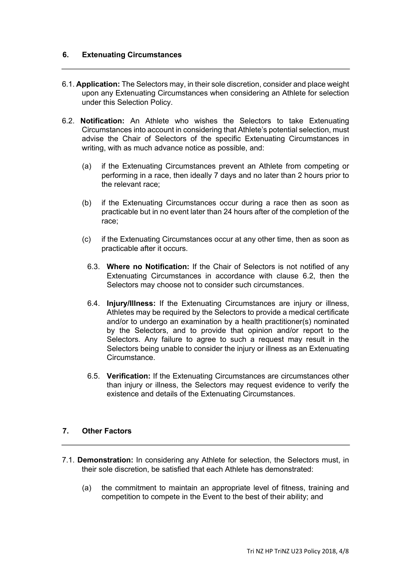#### **6. Extenuating Circumstances**

- 6.1. **Application:** The Selectors may, in their sole discretion, consider and place weight upon any Extenuating Circumstances when considering an Athlete for selection under this Selection Policy.
- 6.2. **Notification:** An Athlete who wishes the Selectors to take Extenuating Circumstances into account in considering that Athlete's potential selection, must advise the Chair of Selectors of the specific Extenuating Circumstances in writing, with as much advance notice as possible, and:
	- (a) if the Extenuating Circumstances prevent an Athlete from competing or performing in a race, then ideally 7 days and no later than 2 hours prior to the relevant race;
	- (b) if the Extenuating Circumstances occur during a race then as soon as practicable but in no event later than 24 hours after of the completion of the race;
	- (c) if the Extenuating Circumstances occur at any other time, then as soon as practicable after it occurs.
		- 6.3. **Where no Notification:** If the Chair of Selectors is not notified of any Extenuating Circumstances in accordance with clause 6.2, then the Selectors may choose not to consider such circumstances.
		- 6.4. **Injury/Illness:** If the Extenuating Circumstances are injury or illness, Athletes may be required by the Selectors to provide a medical certificate and/or to undergo an examination by a health practitioner(s) nominated by the Selectors, and to provide that opinion and/or report to the Selectors. Any failure to agree to such a request may result in the Selectors being unable to consider the injury or illness as an Extenuating Circumstance.
		- 6.5. **Verification:** If the Extenuating Circumstances are circumstances other than injury or illness, the Selectors may request evidence to verify the existence and details of the Extenuating Circumstances.

#### **7. Other Factors**

- 7.1. **Demonstration:** In considering any Athlete for selection, the Selectors must, in their sole discretion, be satisfied that each Athlete has demonstrated:
	- (a) the commitment to maintain an appropriate level of fitness, training and competition to compete in the Event to the best of their ability; and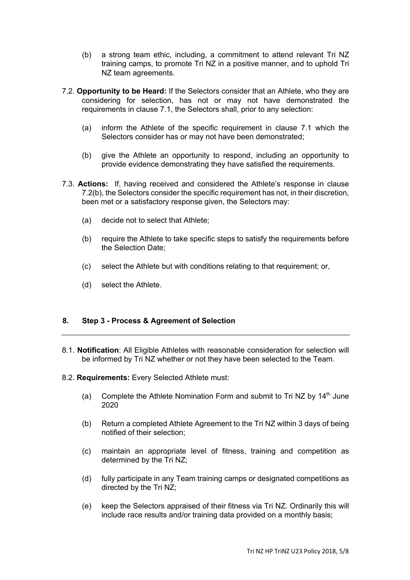- (b) a strong team ethic, including, a commitment to attend relevant Tri NZ training camps, to promote Tri NZ in a positive manner, and to uphold Tri NZ team agreements.
- 7.2. **Opportunity to be Heard:** If the Selectors consider that an Athlete, who they are considering for selection, has not or may not have demonstrated the requirements in clause 7.1, the Selectors shall, prior to any selection:
	- (a) inform the Athlete of the specific requirement in clause 7.1 which the Selectors consider has or may not have been demonstrated;
	- (b) give the Athlete an opportunity to respond, including an opportunity to provide evidence demonstrating they have satisfied the requirements.
- 7.3. **Actions:** If, having received and considered the Athlete's response in clause 7.2(b), the Selectors consider the specific requirement has not, in their discretion, been met or a satisfactory response given, the Selectors may:
	- (a) decide not to select that Athlete;
	- (b) require the Athlete to take specific steps to satisfy the requirements before the Selection Date;
	- (c) select the Athlete but with conditions relating to that requirement; or,
	- (d) select the Athlete.

# **8. Step 3 - Process & Agreement of Selection**

- 8.1. **Notification**: All Eligible Athletes with reasonable consideration for selection will be informed by Tri NZ whether or not they have been selected to the Team.
- 8.2. **Requirements:** Every Selected Athlete must:
	- (a) Complete the Athlete Nomination Form and submit to Tri NZ by  $14<sup>th</sup>$  June 2020
	- (b) Return a completed Athlete Agreement to the Tri NZ within 3 days of being notified of their selection;
	- (c) maintain an appropriate level of fitness, training and competition as determined by the Tri NZ;
	- (d) fully participate in any Team training camps or designated competitions as directed by the Tri NZ;
	- (e) keep the Selectors appraised of their fitness via Tri NZ. Ordinarily this will include race results and/or training data provided on a monthly basis;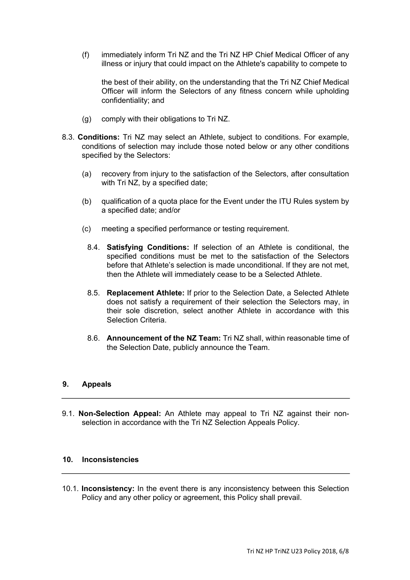(f) immediately inform Tri NZ and the Tri NZ HP Chief Medical Officer of any illness or injury that could impact on the Athlete's capability to compete to

the best of their ability, on the understanding that the Tri NZ Chief Medical Officer will inform the Selectors of any fitness concern while upholding confidentiality; and

- (g) comply with their obligations to Tri NZ.
- 8.3. **Conditions:** Tri NZ may select an Athlete, subject to conditions. For example, conditions of selection may include those noted below or any other conditions specified by the Selectors:
	- (a) recovery from injury to the satisfaction of the Selectors, after consultation with Tri NZ, by a specified date;
	- (b) qualification of a quota place for the Event under the ITU Rules system by a specified date; and/or
	- (c) meeting a specified performance or testing requirement.
		- 8.4. **Satisfying Conditions:** If selection of an Athlete is conditional, the specified conditions must be met to the satisfaction of the Selectors before that Athlete's selection is made unconditional. If they are not met, then the Athlete will immediately cease to be a Selected Athlete.
		- 8.5. **Replacement Athlete:** If prior to the Selection Date, a Selected Athlete does not satisfy a requirement of their selection the Selectors may, in their sole discretion, select another Athlete in accordance with this Selection Criteria.
		- 8.6. **Announcement of the NZ Team:** Tri NZ shall, within reasonable time of the Selection Date, publicly announce the Team.

#### **9. Appeals**

9.1. **Non-Selection Appeal:** An Athlete may appeal to Tri NZ against their nonselection in accordance with the Tri NZ Selection Appeals Policy.

#### **10. Inconsistencies**

10.1. **Inconsistency:** In the event there is any inconsistency between this Selection Policy and any other policy or agreement, this Policy shall prevail.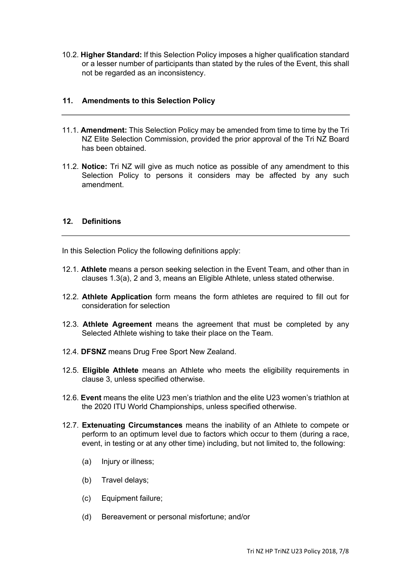10.2. **Higher Standard:** If this Selection Policy imposes a higher qualification standard or a lesser number of participants than stated by the rules of the Event, this shall not be regarded as an inconsistency.

#### **11. Amendments to this Selection Policy**

- 11.1. **Amendment:** This Selection Policy may be amended from time to time by the Tri NZ Elite Selection Commission, provided the prior approval of the Tri NZ Board has been obtained.
- 11.2. **Notice:** Tri NZ will give as much notice as possible of any amendment to this Selection Policy to persons it considers may be affected by any such amendment.

#### **12. Definitions**

In this Selection Policy the following definitions apply:

- 12.1. **Athlete** means a person seeking selection in the Event Team, and other than in clauses 1.3(a), 2 and 3, means an Eligible Athlete, unless stated otherwise.
- 12.2. **Athlete Application** form means the form athletes are required to fill out for consideration for selection
- 12.3. **Athlete Agreement** means the agreement that must be completed by any Selected Athlete wishing to take their place on the Team.
- 12.4. **DFSNZ** means Drug Free Sport New Zealand.
- 12.5. **Eligible Athlete** means an Athlete who meets the eligibility requirements in clause 3, unless specified otherwise.
- 12.6. **Event** means the elite U23 men's triathlon and the elite U23 women's triathlon at the 2020 ITU World Championships, unless specified otherwise.
- 12.7. **Extenuating Circumstances** means the inability of an Athlete to compete or perform to an optimum level due to factors which occur to them (during a race, event, in testing or at any other time) including, but not limited to, the following:
	- (a) Injury or illness;
	- (b) Travel delays;
	- (c) Equipment failure;
	- (d) Bereavement or personal misfortune; and/or